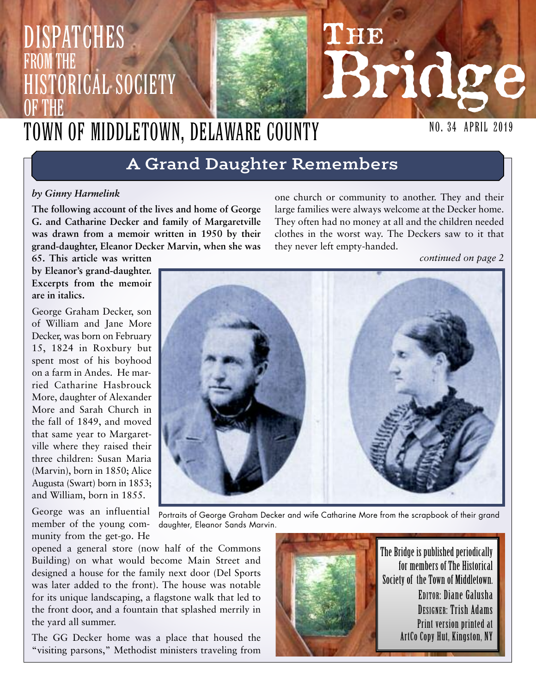# **THE Bridge** NO. 34 April 2019 Dispatches from the HISTORICAL SOCIETY OF THE Town of Middletown, Delaware County

# **A Grand Daughter Remembers**

#### *by Ginny Harmelink*

**The following account of the lives and home of George G. and Catharine Decker and family of Margaretville was drawn from a memoir written in 1950 by their grand-daughter, Eleanor Decker Marvin, when she was** one church or community to another. They and their large families were always welcome at the Decker home. They often had no money at all and the children needed clothes in the worst way. The Deckers saw to it that they never left empty-handed.

*continued on page 2*

**65. This article was written by Eleanor's grand-daughter. Excerpts from the memoir are in italics.**

George Graham Decker, son of William and Jane More Decker, was born on February 15, 1824 in Roxbury but spent most of his boyhood on a farm in Andes. He married Catharine Hasbrouck More, daughter of Alexander More and Sarah Church in the fall of 1849, and moved that same year to Margaretville where they raised their three children: Susan Maria (Marvin), born in 1850; Alice Augusta (Swart) born in 1853; and William, born in 1855.

George was an influential member of the young community from the get-go. He

the yard all summer.

opened a general store (now half of the Commons Building) on what would become Main Street and designed a house for the family next door (Del Sports was later added to the front). The house was notable for its unique landscaping, a flagstone walk that led to the front door, and a fountain that splashed merrily in

The GG Decker home was a place that housed the "visiting parsons," Methodist ministers traveling from





The Bridge is published periodically for members of The Historical Society of the Town of Middletown. EDITOR: Diane Galusha DESIGNER: Trish Adams Print version printed at ArtCo Copy Hut, Kingston, NY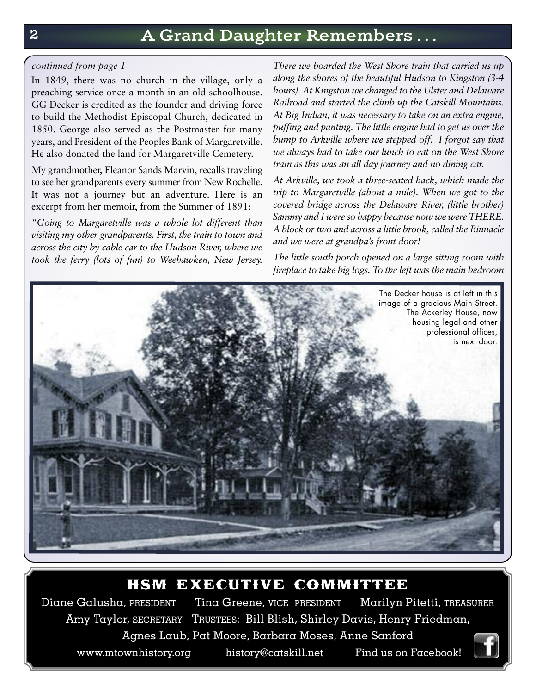#### *continued from page 1*

In 1849, there was no church in the village, only a preaching service once a month in an old schoolhouse. GG Decker is credited as the founder and driving force to build the Methodist Episcopal Church, dedicated in 1850. George also served as the Postmaster for many years, and President of the Peoples Bank of Margaretville. He also donated the land for Margaretville Cemetery.

My grandmother, Eleanor Sands Marvin, recalls traveling to see her grandparents every summer from New Rochelle. It was not a journey but an adventure. Here is an excerpt from her memoir, from the Summer of 1891:

*"Going to Margaretville was a whole lot different than visiting my other grandparents. First, the train to town and across the city by cable car to the Hudson River, where we took the ferry (lots of fun) to Weehawken, New Jersey.*

*There we boarded the West Shore train that carried us up along the shores of the beautiful Hudson to Kingston (3-4 hours). At Kingston we changed to the Ulster and Delaware Railroad and started the climb up the Catskill Mountains. At Big Indian, it was necessary to take on an extra engine, puffing and panting. The little engine had to get us over the hump to Arkville where we stepped off. I forgot say that we always had to take our lunch to eat on the West Shore train as this was an all day journey and no dining car.*

*At Arkville, we took a three-seated hack, which made the trip to Margaretville (about a mile). When we got to the covered bridge across the Delaware River, (little brother) Sammy and I were so happy because now we were THERE. A block ortwo and across a little brook, called the Binnacle and we were at grandpa's front door!*

*The little south porch opened on a large sitting room with fireplace to take big logs. To the left was the main bedroom*



## hsm executive committee

Diane Galusha, PRESIDENT Tina Greene, VICE PRESIDENT Marilyn Pitetti, TREASURER Amy Taylor, SECRETARY TRUSTEES: Bill Blish, Shirley Davis, Henry Friedman, Agnes Laub, Pat Moore, Barbara Moses, Anne Sanford www.mtownhistory.org history@catskill.net Find us on Facebook!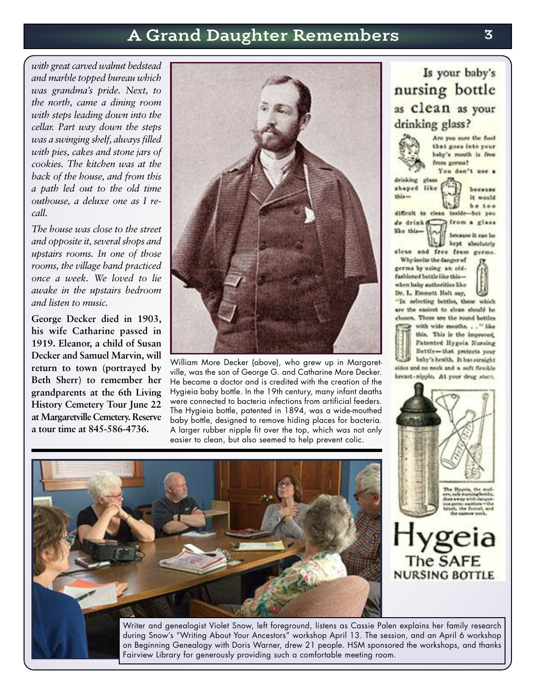# **A Grand Daughter Remembers 3**

*with great carved walnut bedstead and marble topped bureau which was grandma's pride. Next, to the north, came a dining room with steps leading down into the cellar. Part way down the steps was a swinging shelf, alwaysfilled with pies, cakes and stone jars of cookies. The kitchen was at the back of the house, and from this a path led out to the old time outhouse, a deluxe one as I recall.*

*The house was close to the street and opposite it, several shops and upstairs rooms. In one of those rooms, the village band practiced once a week. We loved to lie awake in the upstairs bedroom and listen to music.*

**George Decker died in 1903, his wife Catharine passed in 1919. Eleanor, a child of Susan Decker and Samuel Marvin, will return to town (portrayed by Beth Sherr) to remember her grandparents at the 6th Living History Cemetery Tour June 22 at Margaretville Cemetery. Reserve a tour time at 845-586-4736.**



William More Decker (above), who grew up in Margaretville, was the son of George G. and Catharine More Decker. He became a doctor and is credited with the creation of the Hygieia baby bottle. In the 19th century, many infant deaths were connected to bacteria infections from artificial feeders. The Hygieia bottle, patented in 1894, was a wide-mouthed baby bottle, designed to remove hiding places for bacteria. A larger rubber nipple fit over the top, which was not only easier to clean, but also seemed to help prevent colic.



Is your baby's nursing bottle as clean as your drinking glass? Are you sure the food

that goes into your drinking glass

baby's mouth is free from germs? You don't use a

shaped like this -

difficult to clean

it would be too Inelde but you

because

from a glass de drink d like thisbecause it can be

kept absolutely clean and free from germs.

Why invite the danger of germs by using an oldfashioned bottle like thiswhen haby authorities like Dr. L. Emmett Holt say,

"In selecting bottles, those which are the easiest to elean should be chosen. These are the round bottles with wide mouths. . . " like this. This is the improved, Patented Hygeia Nursing Bettle-that protects your baby's health. It has straight sides and no neck and a soft flexible breast-nipple. At your drug store,



geia The SAFE **NURSING BOTTLE** 

Writer and genealogist Violet Snow, left foreground, listens as Cassie Palen explains her family research during Snow's "Writing About Your Ancestors" workshop April 13. The session, and an April 6 workshop on Beginning Genealogy with Doris Warner, drew 21 people. HSM sponsored the workshops, and thanks Fairview Library for generously providing such a comfortable meeting room.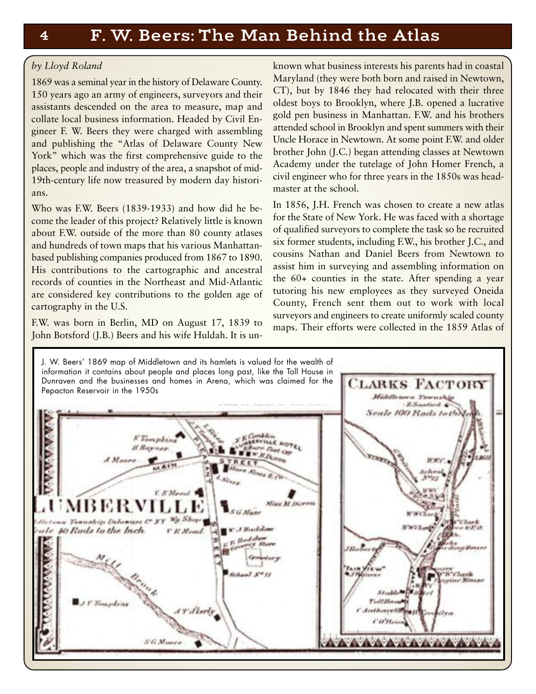#### *by Lloyd Roland*

1869 was a seminal year in the history of Delaware County. 150 years ago an army of engineers, surveyors and their assistants descended on the area to measure, map and collate local business information. Headed by Civil Engineer F. W. Beers they were charged with assembling and publishing the "Atlas of Delaware County New York" which was the first comprehensive guide to the places, people and industry of the area, a snapshot of mid-19th-century life now treasured by modern day historians.

Who was F.W. Beers (1839-1933) and how did he become the leader of this project? Relatively little is known about F.W. outside of the more than 80 county atlases and hundreds of town maps that his various Manhattanbased publishing companies produced from 1867 to 1890. His contributions to the cartographic and ancestral records of counties in the Northeast and Mid-Atlantic are considered key contributions to the golden age of cartography in the U.S.

F.W. was born in Berlin, MD on August 17, 1839 to John Botsford (J.B.) Beers and his wife Huldah. It is unknown what business interests his parents had in coastal Maryland (they were both born and raised in Newtown, CT), but by 1846 they had relocated with their three oldest boys to Brooklyn, where J.B. opened a lucrative gold pen business in Manhattan. F.W. and his brothers attended school in Brooklyn and spent summers with their Uncle Horace in Newtown. At some point F.W. and older brother John (J.C.) began attending classes at Newtown Academy under the tutelage of John Homer French, a civil engineer who for three years in the 1850s was headmaster at the school.

In 1856, J.H. French was chosen to create a new atlas for the State of New York. He was faced with a shortage of qualified surveyors to complete the task so he recruited six former students, including F.W., his brother J.C., and cousins Nathan and Daniel Beers from Newtown to assist him in surveying and assembling information on the 60+ counties in the state. After spending a year tutoring his new employees as they surveyed Oneida County, French sent them out to work with local surveyors and engineers to create uniformly scaled county maps. Their efforts were collected in the 1859 Atlas of

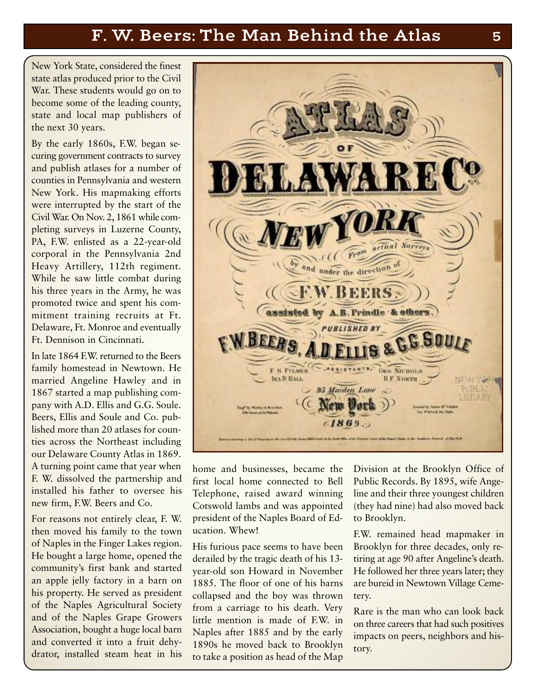# **F. W. Beers: The Man Behind the Atlas 5**

New York State, considered the finest state atlas produced prior to the Civil War. These students would go on to become some of the leading county, state and local map publishers of the next 30 years.

By the early 1860s, F.W. began securing government contracts to survey and publish atlases for a number of counties in Pennsylvania and western New York. His mapmaking efforts were interrupted by the start of the Civil War. On Nov. 2, 1861 while completing surveys in Luzerne County, PA, F.W. enlisted as a 22-year-old corporal in the Pennsylvania 2nd Heavy Artillery, 112th regiment. While he saw little combat during his three years in the Army, he was promoted twice and spent his commitment training recruits at Ft. Delaware, Ft. Monroe and eventually Ft. Dennison in Cincinnati.

In late 1864 F.W. returned to the Beers family homestead in Newtown. He married Angeline Hawley and in 1867 started a map publishing company with A.D. Ellis and G.G. Soule. Beers, Ellis and Soule and Co. published more than 20 atlases for counties across the Northeast including our Delaware County Atlas in 1869. A turning point came that year when F. W. dissolved the partnership and installed his father to oversee his new firm, F.W. Beers and Co.

For reasons not entirely clear, F. W. then moved his family to the town of Naples in the Finger Lakes region. He bought a large home, opened the community's first bank and started an apple jelly factory in a barn on his property. He served as president of the Naples Agricultural Society and of the Naples Grape Growers Association, bought a huge local barn and converted it into a fruit dehydrator, installed steam heat in his



home and businesses, became the first local home connected to Bell Telephone, raised award winning Cotswold lambs and was appointed president of the Naples Board of Education. Whew!

His furious pace seems to have been derailed by the tragic death of his 13 year-old son Howard in November 1885. The floor of one of his barns collapsed and the boy was thrown from a carriage to his death. Very little mention is made of F.W. in Naples after 1885 and by the early 1890s he moved back to Brooklyn to take a position as head of the Map Division at the Brooklyn Office of Public Records. By 1895, wife Angeline and their three youngest children (they had nine) had also moved back to Brooklyn.

F.W. remained head mapmaker in Brooklyn for three decades, only retiring at age 90 after Angeline's death. He followed her three years later; they are bureid in Newtown Village Cemetery.

Rare is the man who can look back on three careers that had such positives impacts on peers, neighbors and history.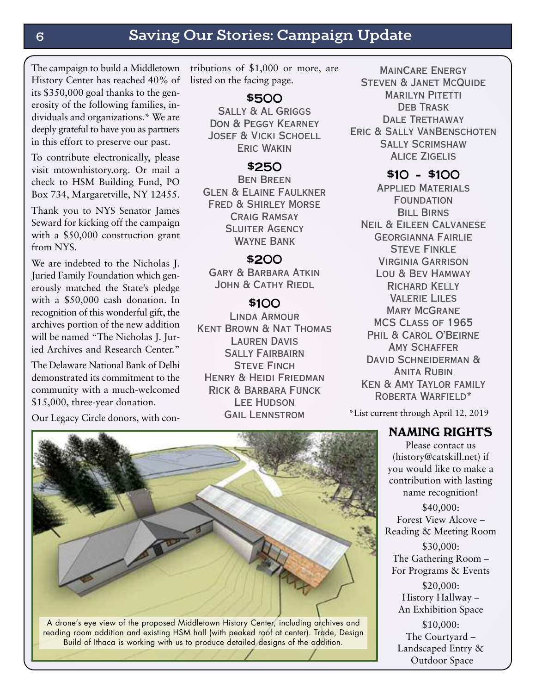## **6 Saving Our Stories: Campaign Update**

The campaign to build a Middletown History Center has reached 40% of its \$350,000 goal thanks to the generosity of the following families, individuals and organizations.\* We are deeply grateful to have you as partners in this effort to preserve our past.

To contribute electronically, please visit mtownhistory.org. Or mail a check to HSM Building Fund, PO Box 734, Margaretville, NY 12455.

Thank you to NYS Senator James Seward for kicking off the campaign with a \$50,000 construction grant from NYS.

We are indebted to the Nicholas I. Juried Family Foundation which generously matched the State's pledge with a \$50,000 cash donation. In recognition of this wonderful gift, the archives portion of the new addition will be named "The Nicholas J. Juried Archives and Research Center."

The Delaware National Bank of Delhi demonstrated its commitment to the community with a much-welcomed \$15,000, three-year donation.

Our Legacy Circle donors, with con-

tributions of \$1,000 or more, are listed on the facing page.

### \$500

Sally & Al Griggs Don & Peggy Kearney Josef & Vicki Schoell Eric Wakin

#### \$250

Ben Breen Glen & Elaine Faulkner Fred & Shirley Morse Craig Ramsay **SLUITER AGENCY** Wayne Bank

#### \$200

Gary & Barbara Atkin JOHN & CATHY RIEDL

### \$100

Linda Armour Kent Brown & Nat Thomas Lauren Davis Sally Fairbairn **STEVE FINCH** Henry & Heidi Friedman Rick & Barbara Funck Lee Hudson **GAIL LENNSTROM** 

MainCare Energy Steven & Janet McQuide **MARILYN PITETTI** DEB TRASK DALE TRETHAWAY Eric & Sally VanBenschoten Sally Scrimshaw Alice Zigelis

### $$1O - $1OO$

Applied Materials **FOUNDATION BILL BIRNS** Neil & Eileen Calvanese Georgianna Fairlie **STEVE FINKLE** Virginia Garrison Lou & Bev Hamway Richard Kelly Valerie Liles **MARY MCGRANE** MCS Class of 1965 Phil & Carol O'Beirne **AMY SCHAFFER** DAVID SCHNEIDERMAN & **ANITA RUBIN** Ken & Amy Taylor family ROBERTA WARFIELD\*

\*List current through April 12, 2019

### NAMING RIGHTS

Please contact us (history@catskill.net) if you would like to make a contribution with lasting name recognition!

\$40,000: Forest View Alcove – Reading & Meeting Room \$30,000:

The Gathering Room – For Programs & Events

\$20,000: History Hallway – An Exhibition Space

\$10,000: The Courtyard – Landscaped Entry & Outdoor Space

A drone's eye view of the proposed Middletown History Center, including archives and reading room addition and existing HSM hall (with peaked roof at center). Trade, Design Build of Ithaca is working with us to produce detailed designs of the addition.

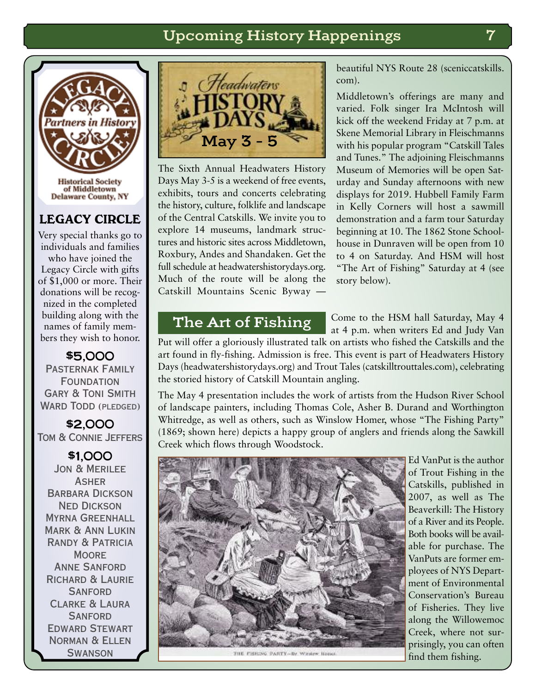## **Upcoming History Happenings 7**



### LEGACY CIRCLE

Very special thanks go to individuals and families who have joined the Legacy Circle with gifts of \$1,000 or more. Their donations will be recognized in the completed building along with the names of family members they wish to honor.

\$5,000 Pasternak Family **FOUNDATION** Gary & Toni Smith WARD TODD (PLEDGED)

\$2,000 Tom & Connie Jeffers

\$1,000 Jon & Merilee **ASHER** BARBARA DICKSON Ned Dickson Myrna Greenhall Mark & Ann Lukin Randy & Patricia **MOORE** Anne Sanford Richard & Laurie **SANFORD** Clarke & Laura **SANFORD** Edward Stewart Norman & Ellen **SWANSON** 



The Sixth Annual Headwaters History Days May 3-5 is a weekend of free events, exhibits, tours and concerts celebrating the history, culture, folklife and landscape of the Central Catskills. We invite you to explore 14 museums, landmark structures and historic sites across Middletown, Roxbury, Andes and Shandaken. Get the full schedule at headwatershistorydays.org. Much of the route will be along the Catskill Mountains Scenic Byway —

beautiful NYS Route 28 (sceniccatskills. com).

Middletown's offerings are many and varied. Folk singer Ira McIntosh will kick off the weekend Friday at 7 p.m. at Skene Memorial Library in Fleischmanns with his popular program "Catskill Tales and Tunes." The adjoining Fleischmanns Museum of Memories will be open Saturday and Sunday afternoons with new displays for 2019. Hubbell Family Farm in Kelly Corners will host a sawmill demonstration and a farm tour Saturday beginning at 10. The 1862 Stone Schoolhouse in Dunraven will be open from 10 to 4 on Saturday. And HSM will host "The Art of Fishing" Saturday at 4 (see story below).

## **The Art of Fishing**

Come to the HSM hall Saturday, May 4 at 4 p.m. when writers Ed and Judy Van

Put will offer a gloriously illustrated talk on artists who fished the Catskills and the art found in fly-fishing. Admission is free. This event is part of Headwaters History Days (headwatershistorydays.org) and Trout Tales (catskilltrouttales.com), celebrating the storied history of Catskill Mountain angling.

The May 4 presentation includes the work of artists from the Hudson River School of landscape painters, including Thomas Cole, Asher B. Durand and Worthington Whitredge, as well as others, such as Winslow Homer, whose "The Fishing Party" (1869; shown here) depicts a happy group of anglers and friends along the Sawkill Creek which flows through Woodstock.



THE FISHING PARTY-By Window House

Ed VanPut is the author of Trout Fishing in the Catskills, published in 2007, as well as The Beaverkill: The History of a River and its People. Both books will be available for purchase. The VanPuts are former employees of NYS Department of Environmental Conservation's Bureau of Fisheries. They live along the Willowemoc Creek, where not surprisingly, you can often find them fishing.